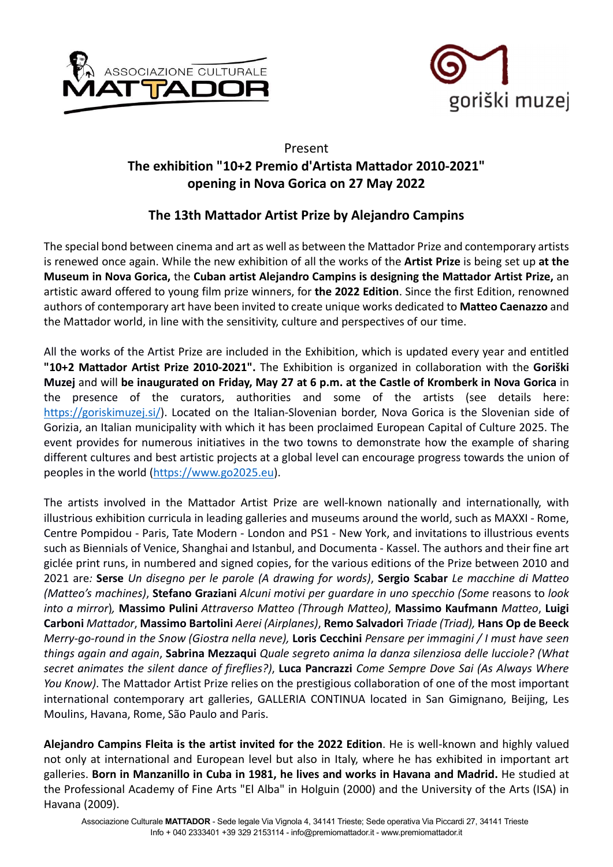



## Present The exhibition "10+2 Premio d'Artista Mattador 2010-2021" opening in Nova Gorica on 27 May 2022

## The 13th Mattador Artist Prize by Alejandro Campins

The special bond between cinema and art as well as between the Mattador Prize and contemporary artists is renewed once again. While the new exhibition of all the works of the Artist Prize is being set up at the Museum in Nova Gorica, the Cuban artist Alejandro Campins is designing the Mattador Artist Prize, an artistic award offered to young film prize winners, for the 2022 Edition. Since the first Edition, renowned authors of contemporary art have been invited to create unique works dedicated to Matteo Caenazzo and the Mattador world, in line with the sensitivity, culture and perspectives of our time.

All the works of the Artist Prize are included in the Exhibition, which is updated every year and entitled "10+2 Mattador Artist Prize 2010-2021". The Exhibition is organized in collaboration with the Goriški Muzej and will be inaugurated on Friday, May 27 at 6 p.m. at the Castle of Kromberk in Nova Gorica in the presence of the curators, authorities and some of the artists (see details here: https://goriskimuzej.si/). Located on the Italian-Slovenian border. Nova Gorica is the Slovenian side of Gorizia, an Italian municipality with which it has been proclaimed European Capital of Culture 2025. The event provides for numerous initiatives in the two towns to demonstrate how the example of sharing different cultures and best artistic projects at a global level can encourage progress towards the union of peoples in the world (https://www.go2025.eu).

The artists involved in the Mattador Artist Prize are well-known nationally and internationally, with illustrious exhibition curricula in leading galleries and museums around the world, such as MAXXI - Rome, Centre Pompidou - Paris, Tate Modern - London and PS1 - New York, and invitations to illustrious events such as Biennials of Venice, Shanghai and Istanbul, and Documenta - Kassel. The authors and their fine art giclée print runs, in numbered and signed copies, for the various editions of the Prize between 2010 and 2021 are: Serse Un disegno per le parole (A drawing for words), Sergio Scabar Le macchine di Matteo (Matteo's machines), Stefano Graziani Alcuni motivi per quardare in uno specchio (Some reasons to look into a mirror), Massimo Pulini Attraverso Matteo (Through Matteo), Massimo Kaufmann Matteo, Luigi Carboni Mattador, Massimo Bartolini Aerei (Airplanes), Remo Salvadori Triade (Triad), Hans Op de Beeck Merry-go-round in the Snow (Giostra nella neve), Loris Cecchini Pensare per immagini / I must have seen things again and again, Sabrina Mezzaqui Quale segreto anima la danza silenziosa delle lucciole? (What secret animates the silent dance of fireflies?), Luca Pancrazzi Come Sempre Dove Sai (As Always Where You Know). The Mattador Artist Prize relies on the prestigious collaboration of one of the most important international contemporary art galleries, GALLERIA CONTINUA located in San Gimignano, Beijing, Les Moulins, Havana, Rome, São Paulo and Paris.

Alejandro Campins Fleita is the artist invited for the 2022 Edition. He is well-known and highly valued not only at international and European level but also in Italy, where he has exhibited in important art galleries. Born in Manzanillo in Cuba in 1981, he lives and works in Havana and Madrid. He studied at the Professional Academy of Fine Arts "El Alba" in Holguin (2000) and the University of the Arts (ISA) in Havana (2009).